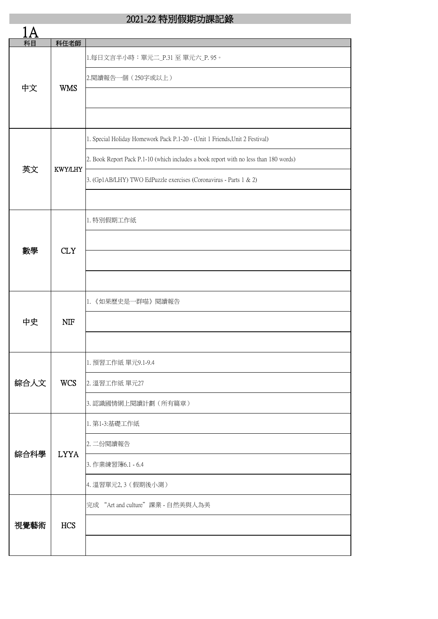| 科目   | 科任老師           |                                                                                       |
|------|----------------|---------------------------------------------------------------------------------------|
| 中文   | <b>WMS</b>     | 1.每日文言半小時:單元二_P.31至單元六_P.95。                                                          |
|      |                | 2.閱讀報告一個 (250字或以上)                                                                    |
|      |                |                                                                                       |
|      |                |                                                                                       |
| 英文   | <b>KWY/LHY</b> | 1. Special Holiday Homework Pack P.1-20 - (Unit 1 Friends, Unit 2 Festival)           |
|      |                | 2. Book Report Pack P.1-10 (which includes a book report with no less than 180 words) |
|      |                | 3. (Gp1AB/LHY) TWO EdPuzzle exercises (Coronavirus - Parts 1 & 2)                     |
|      |                |                                                                                       |
|      | <b>CLY</b>     | 1. 特別假期工作紙                                                                            |
|      |                |                                                                                       |
| 數學   |                |                                                                                       |
|      |                |                                                                                       |
|      | <b>NIF</b>     | 1. 《如果歷史是一群喵》閱讀報告                                                                     |
| 中史   |                |                                                                                       |
|      |                |                                                                                       |
|      | <b>WCS</b>     | 1. 預習工作紙 單元9.1-9.4                                                                    |
| 綜合人文 |                | 2. 溫習工作紙 單元27                                                                         |
|      |                | 3.認識國情網上閱讀計劃(所有篇章)                                                                    |
| 綜合科學 | <b>LYYA</b>    | 1. 第1-3:基礎工作紙                                                                         |
|      |                | 2. 二份閱讀報告                                                                             |
|      |                | 3. 作業練習簿6.1 - 6.4                                                                     |
|      |                | 4. 溫習單元2,3 (假期後小測)                                                                    |
| 視覺藝術 | <b>HCS</b>     | 完成 "Art and culture"課業 - 自然美與人為美                                                      |
|      |                |                                                                                       |
|      |                |                                                                                       |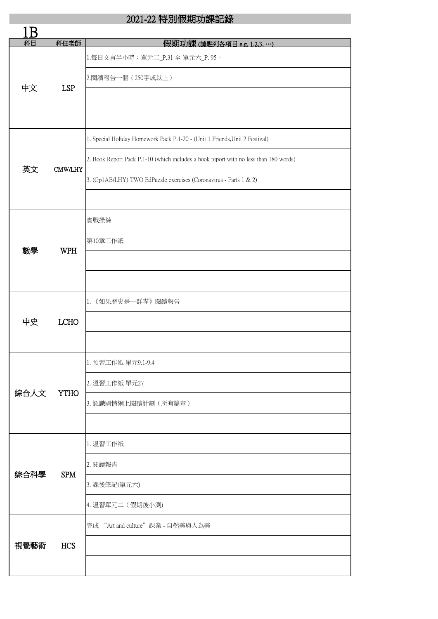| 科目   | 科任老師           | 假期功課(請點列各項目 e.g. 1.2.3.…)                                                             |
|------|----------------|---------------------------------------------------------------------------------------|
| 中文   | <b>LSP</b>     | 1.每日文言半小時:單元二_P.31 至 單元六_P.95。                                                        |
|      |                | 2.閱讀報告一個 (250字或以上)                                                                    |
|      |                |                                                                                       |
|      |                |                                                                                       |
| 英文   | <b>CMW/LHY</b> | 1. Special Holiday Homework Pack P.1-20 - (Unit 1 Friends, Unit 2 Festival)           |
|      |                | 2. Book Report Pack P.1-10 (which includes a book report with no less than 180 words) |
|      |                | 3. (Gp1AB/LHY) TWO EdPuzzle exercises (Coronavirus - Parts 1 & 2)                     |
|      |                |                                                                                       |
|      | <b>WPH</b>     | 實戰操練                                                                                  |
|      |                | 第10章工作紙                                                                               |
| 數學   |                |                                                                                       |
|      |                |                                                                                       |
| 中史   | <b>LCHO</b>    | 1. 《如果歷史是一群喵》閱讀報告                                                                     |
|      |                |                                                                                       |
|      |                |                                                                                       |
|      | <b>YTHO</b>    | 1. 預習工作紙 單元9.1-9.4                                                                    |
| 綜合人文 |                | 2. 溫習工作紙 單元27                                                                         |
|      |                | 3. 認識國情網上閱讀計劃(所有篇章)                                                                   |
|      |                |                                                                                       |
|      | <b>SPM</b>     | 1. 温習工作紙                                                                              |
|      |                | 2. 閱讀報告                                                                               |
| 綜合科學 |                | 3. 課後筆記(單元六)                                                                          |
|      |                | 4. 温習單元二 (假期後小測)                                                                      |
| 視覺藝術 | <b>HCS</b>     | 完成 "Art and culture"課業 - 自然美與人為美                                                      |
|      |                |                                                                                       |
|      |                |                                                                                       |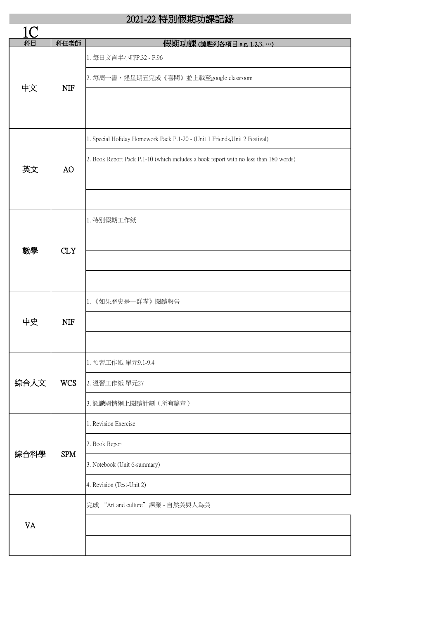| 科目        | 科任老師       | 假期功課(請點列各項目 e.g. 1.2.3, …)                                                            |
|-----------|------------|---------------------------------------------------------------------------------------|
| 中文        | <b>NIF</b> | 1. 每日文言半小時P.32 - P.96<br>2. 每周一書,逢星期五完成《喜閱》並上載至google classroom                       |
|           |            |                                                                                       |
| 英文        | AO         | 1. Special Holiday Homework Pack P.1-20 - (Unit 1 Friends, Unit 2 Festival)           |
|           |            | 2. Book Report Pack P.1-10 (which includes a book report with no less than 180 words) |
|           |            |                                                                                       |
| 數學        | <b>CLY</b> | 1. 特別假期工作紙                                                                            |
|           |            |                                                                                       |
|           |            |                                                                                       |
| 中史        | <b>NIF</b> | 1. 《如果歷史是一群喵》閱讀報告                                                                     |
|           |            |                                                                                       |
| 綜合人文      | <b>WCS</b> | 1. 預習工作紙 單元9.1-9.4                                                                    |
|           |            | 2. 溫習工作紙 單元27                                                                         |
|           |            | 3.認識國情網上閱讀計劃(所有篇章)                                                                    |
| 綜合科學      | <b>SPM</b> | 1. Revision Exercise                                                                  |
|           |            | 2. Book Report<br>3. Notebook (Unit 6-summary)                                        |
|           |            | 4. Revision (Test-Unit 2)                                                             |
|           |            | 完成 "Art and culture"課業 - 自然美與人為美                                                      |
| <b>VA</b> |            |                                                                                       |
|           |            |                                                                                       |